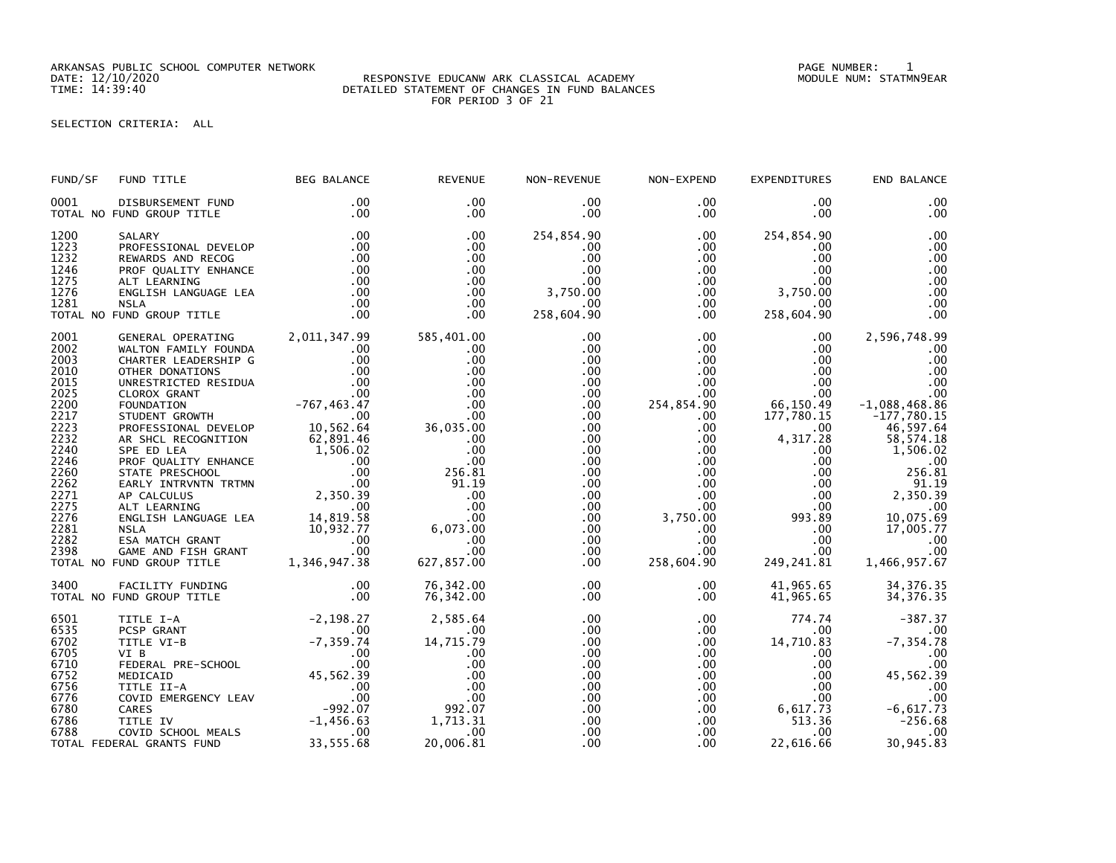ARKANSAS PUBLIC SCHOOL COMPUTER NETWORK PAGE NUMBER: 1

## DATE: 12/10/2020 RESPONSIVE EDUCANW ARK CLASSICAL ACADEMY MODULE NUM: STATMN9EAR TIME: 14:39:40 DETAILED STATEMENT OF CHANGES IN FUND BALANCES FOR PERIOD 3 OF 21

## SELECTION CRITERIA: ALL

| FUND/SF                              | FUND TITLE                                                                                                                                                                                                                                                               | <b>BEG BALANCE</b>    | <b>REVENUE</b>                                 | NON-REVENUE                                                      | NON-EXPEND                                                               | <b>EXPENDITURES</b>                                                        | END BALANCE                                                       |
|--------------------------------------|--------------------------------------------------------------------------------------------------------------------------------------------------------------------------------------------------------------------------------------------------------------------------|-----------------------|------------------------------------------------|------------------------------------------------------------------|--------------------------------------------------------------------------|----------------------------------------------------------------------------|-------------------------------------------------------------------|
| 0001                                 | DISBURSEMENT FUND<br>TOTAL NO FUND GROUP TITLE                                                                                                                                                                                                                           | .00<br>.00            | $.00 \,$<br>$.00 \,$                           | $.00 \,$<br>$.00 \,$                                             | $.00 \,$<br>$.00 \,$                                                     | $.00 \,$<br>$.00 \,$                                                       | .00<br>.00                                                        |
| 1200<br>1223<br>1232<br>1246<br>1275 | SALARY<br>PROFESSIONAL DEVELOP<br>NEWARDS AND RECOGNALISTY<br>PROF QUALITY ENHANCE<br>ALT LEARNING 100<br>ENGLISH LANGUAGE LEA 100<br>NSLA 100<br>NSLA 100<br>NSLA 100                                                                                                   | .00<br>$\frac{1}{20}$ | .00<br>$.00 \,$<br>.00<br>.00<br>.00           | 254,854.90<br>$.00 \,$<br>.00<br>.00<br>$.00 \,$                 | $.00 \,$<br>$.00 \,$<br>$.00 \,$<br>$.00\,$<br>.00                       | 254,854.90<br>$.00 \,$<br>$.00 \,$<br>$.00 \cdot$<br>$.00 \,$              | .00<br>.00<br>.00<br>.00<br>.00                                   |
| 1276<br>1281                         | TOTAL NO FUND GROUP TITLE                                                                                                                                                                                                                                                | .00                   | .00<br>.00<br>.00                              | 3,750.00<br>.00<br>258,604.90                                    | $.00\,$<br>$.00 \,$                                                      | $0.00$ 3,750.00<br>.00<br>258,604.90                                       | .00<br>.00<br>.00                                                 |
| 2001<br>2002<br>2003<br>2010<br>2015 | GENERAL OPERATING 2,011,347.99                                                                                                                                                                                                                                           |                       | 585,401.00<br>.00<br>.00<br>.00<br>.00         | .00<br>.00<br>.00<br>.00<br>$.00 \,$                             | $.00 \,$<br>$.00\,$<br>$\begin{array}{c} 0.00 \ 0.00 \end{array}$<br>.00 | $.00 \,$<br>$.00 \ \,$<br>$.00 \,$<br>$.00\,$<br>.00                       | 2,596,748.99<br>.00<br>.00<br>.00<br>.00                          |
| 2025<br>2200<br>2217<br>2223<br>2232 | GENERAL OPERATING 2,011,347.99<br>WALTON FAMILY FOUNDA .00<br>CHARTER LEADERSHIP G .00<br>OTHER DONATIONS<br>UNRESTRICTED RESIDUA .00<br>UNRESTRICTED RESIDUA .00<br>CLOROX GRANT .00<br>CLOROX GRANT .00<br>PROFESSIONAL DEVELOP 10,562.64<br>A                         |                       | .00                                            | $.00 \,$<br>$.00 \,$<br>$.00 \,$<br>$.00 \,$<br>$.00 \,$         | .00<br>254,854.90<br>$.00 \,$<br>.00<br>.00                              | 00.<br>00.<br>66 , 150 . 49<br>177 , 780 . 15<br>.00<br>.00<br>4,317.28    | .00<br>$-1,088,468.86$<br>$-177,780.15$<br>46,597.64<br>58,574.18 |
| 2240<br>2246<br>2260<br>2262<br>2271 |                                                                                                                                                                                                                                                                          |                       | .00<br>.00<br>256.81<br>91.19<br>.00           | $.00 \,$<br>$.00 \,$<br>$.00 \,$<br>.00 <sub>1</sub><br>$.00 \,$ | .00<br>$\frac{0}{2}$<br>.00                                              | $.00 \,$<br>$0.00$ . $00$<br>.00<br>.00<br>.00                             | 1,506.02<br>.00<br>256.81<br>91.19<br>$00$ 2,350.39               |
| 2275<br>2276<br>2281<br>2282<br>2398 |                                                                                                                                                                                                                                                                          |                       | $\overline{00}$                                | $.00 \,$<br>$.00 \,$<br>.00<br>$.00 \,$<br>$.00 \,$              | $0.00$<br>$0.00$<br>$0.00$                                               | .00                                                                        | .00<br>10,075.69<br>17,005.77<br>$\sim$ 00<br>.00                 |
|                                      | TOTAL NO FUND GROUP TITLE                                                                                                                                                                                                                                                |                       |                                                | $.00 \,$                                                         | 258,604.90                                                               | 249,241.81                                                                 | 1,466,957.67                                                      |
| 3400                                 | FACILITY FUNDING 00<br>FUND GROUP TITLE 00<br>TOTAL NO FUND GROUP TITLE                                                                                                                                                                                                  |                       | 76,342.00<br>76,342.00                         | $.00 \,$<br>$.00 \,$                                             | $.00 \,$<br>$.00 \,$                                                     | 41,965.65<br>41,965.65                                                     | 34, 376.35<br>34, 376. 35                                         |
| 6501<br>6535<br>6702<br>6705         | TITLE I-A<br>PCSP GRANT<br>TITLE VI-B<br>TITLE VI-B<br>-7,359.74<br>-7,359.74<br>-7,359.74<br>-7,359.74<br>-7,359.74<br>-992.00<br>MEDICAID<br>-992.00<br>MEDICAID<br>45,562.39<br>TITLE II-A<br>.00<br>CARES<br>-992.07<br>-992.07<br>-992.07<br>-1,456.63<br>COVID SCH |                       | 2,585.64<br>.00<br>$14, 715. 79$<br>.00<br>.00 | $.00 \,$<br>$.00 \,$<br>$.00 \,$<br>.00                          | $.00\,$<br>$.00\,$<br>.00<br>$.00 \,$                                    | 774.74<br>$.00\,$<br>$14, 710.\widetilde{83}$<br>.00                       | $-387.37$<br>.00<br>$-7, 354.78$<br>.00                           |
| 6710<br>6752<br>6756<br>6776         |                                                                                                                                                                                                                                                                          |                       | .00<br>.00<br>.00<br>$992.07$                  | .00<br>.00<br>$.00 \,$<br>.00                                    | .00<br>.00<br>.00                                                        | .00<br>$.00 \,$<br>$.00 \,$                                                | .00<br>45,562.39<br>.00<br>.00                                    |
| 6780<br>6786<br>6788                 |                                                                                                                                                                                                                                                                          | 33, 555.68            | 1,713.31<br>.00<br>20,006.81                   | $.00 \,$<br>$.00 \,$<br>.00<br>.00                               | .00<br>$.00\,$<br>$.00 \,$                                               | $\frac{0.00}{0.00}$ .00<br>0.00 6,617.73<br>513.36<br>$.00\,$<br>22,616.66 | $-6,617.73$<br>-256.68<br>.00<br>30,945.83                        |
|                                      | TOTAL FEDERAL GRANTS FUND                                                                                                                                                                                                                                                |                       |                                                |                                                                  |                                                                          |                                                                            |                                                                   |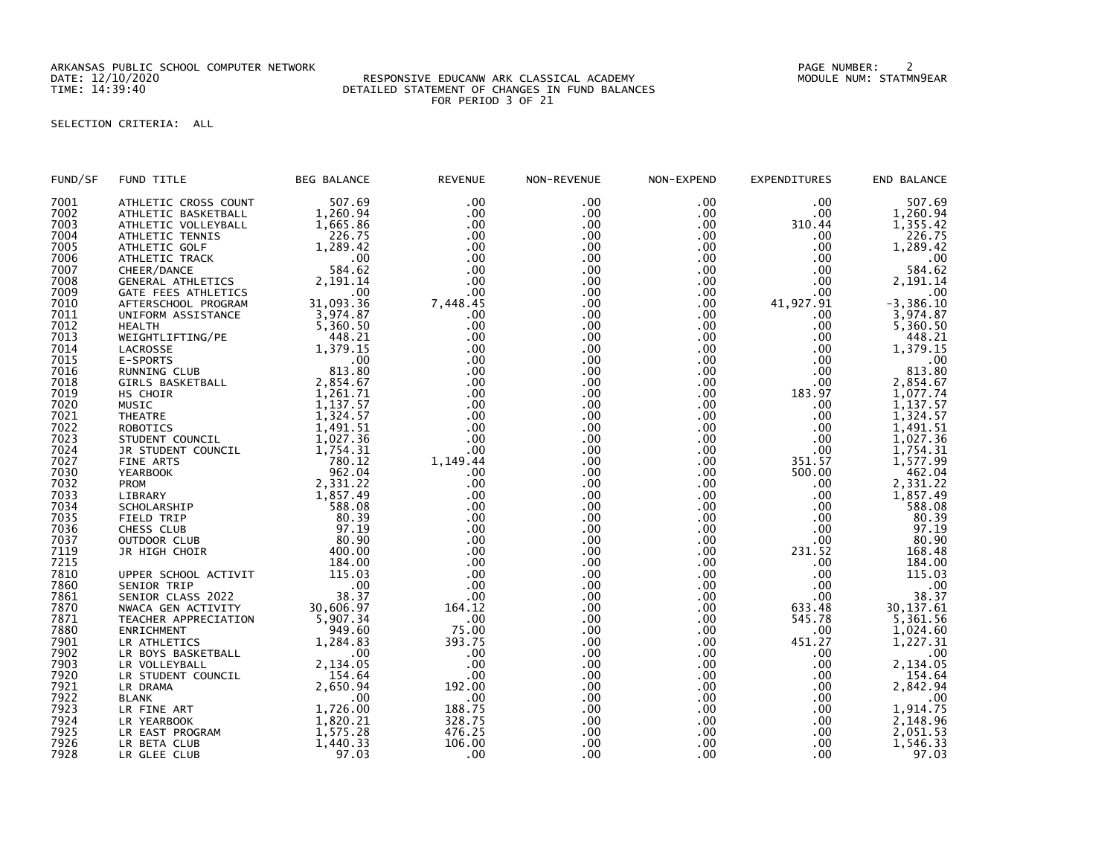ARKANSAS PUBLIC SCHOOL COMPUTER NETWORK PAGE NUMBER: 2

## DATE: 12/10/2020 RESPONSIVE EDUCANW ARK CLASSICAL ACADEMY MODULE NUM: STATMN9EAR TIME: 14:39:40 DETAILED STATEMENT OF CHANGES IN FUND BALANCES FOR PERIOD 3 OF 21

## SELECTION CRITERIA: ALL

| FUND/SF | FUND TITLE              | <b>BEG BALANCE</b> | <b>REVENUE</b> | NON-REVENUE | NON-EXPEND       | <b>EXPENDITURES</b> | END BALANCE  |
|---------|-------------------------|--------------------|----------------|-------------|------------------|---------------------|--------------|
| 7001    | ATHLETIC CROSS COUNT    | 507.69             | .00            | .00         | .00              | .00                 | 507.69       |
| 7002    | ATHLETIC BASKETBALL     | 1,260.94           | .00            | .00         | $.00 \,$         | .00                 | 1,260.94     |
| 7003    | ATHLETIC VOLLEYBALL     | 1.665.86           | .00            | .00         | $.00 \,$         | 310.44              | 1,355.42     |
| 7004    | ATHLETIC TENNIS         | 226.75             | .00            | .00.        | .00              | .00                 | 226.75       |
| 7005    | ATHLETIC GOLF           | 1,289.42           | .00            | .00         | .00              | .00                 | 1,289.42     |
| 7006    | ATHLETIC TRACK          | .00                | .00            | .00         | .00              | .00                 | .00          |
| 7007    | CHEER/DANCE             | 584.62             | .00            | .00         | .00              | .00                 | 584.62       |
| 7008    | GENERAL ATHLETICS       | 2,191.14           | .00            | .00         | .00              | .00                 | 2,191.14     |
| 7009    |                         | .00                | .00            | .00         | .00              | .00                 |              |
|         | GATE FEES ATHLETICS     |                    |                |             |                  |                     | .00          |
| 7010    | AFTERSCHOOL PROGRAM     | 31,093.36          | 7,448.45       | .00         | $.00 \,$         | 41,927.91           | $-3,386.10$  |
| 7011    | UNIFORM ASSISTANCE      | 3,974.87           | .00            | .00         | $.00 \times$     | .00                 | 3.974.87     |
| 7012    | <b>HEALTH</b>           | 5.360.50           | .00            | .00         | .00              | .00                 | 5,360.50     |
| 7013    | WEIGHTLIFTING/PE        | 448.21             | .00            | .00         | .00              | .00                 | 448.21       |
| 7014    | LACROSSE                | 1,379.15           | .00            | .00         | .00              | .00                 | 1,379.15     |
| 7015    | E-SPORTS                | .00                | .00            | .00         | .00              | .00                 | .00          |
| 7016    | RUNNING CLUB            | 813.80             | .00            | .00         | .00              | .00                 | 813.80       |
| 7018    | <b>GIRLS BASKETBALL</b> | 2,854.67           | .00            | .00         | $.00 \,$         | .00                 | 2,854.67     |
| 7019    | HS CHOIR                | 1,261.71           | .00            | .00         | .00              | 183.97              | 1,077.74     |
| 7020    | MUSIC                   | 1,137.57           | .00            | .00         | $.00 \,$         | .00                 | 1,137.57     |
| 7021    | <b>THEATRE</b>          | 1,324.57           | .00            | .00         | .00              | .00                 | 1,324.57     |
| 7022    | <b>ROBOTICS</b>         | 1,491.51           | .00            | .00         | .00              | .00                 | 1,491.51     |
| 7023    | STUDENT COUNCIL         | 1,027.36           | .00            | .00         | .00              | .00                 | 1,027.36     |
| 7024    | JR STUDENT COUNCIL      | 1,754.31           | .00            | .00         | .00              | .00                 | 1,754.31     |
| 7027    | <b>FINE ARTS</b>        | 780.12             | 1,149.44       | .00         | .00              | 351.57              | 1,577.99     |
|         |                         | 962.04             |                |             |                  |                     |              |
| 7030    | <b>YEARBOOK</b>         |                    | .00            | .00         | .00              | 500.00              | 462.04       |
| 7032    | <b>PROM</b>             | 2,331.22           | .00            | .00         | $.00 \,$         | .00                 | 2,331.22     |
| 7033    | LIBRARY                 | 1,857.49           | .00            | .00         | .00 <sub>1</sub> | .00                 | 1,857.49     |
| 7034    | SCHOLARSHIP             | 588.08             | .00            | .00         | .00              | .00                 | 588.08       |
| 7035    | FIELD TRIP              | 80.39              | .00            | .00         | .00              | .00                 | 80.39        |
| 7036    | CHESS CLUB              | 97.19              | .00            | .00         | .00              | .00                 | 97.19        |
| 7037    | OUTDOOR CLUB            | 80.90              | .00            | .00         | $.00 \,$         | $.00 \,$            | 80.90        |
| 7119    | JR HIGH CHOIR           | 400.00             | .00            | .00         | .00              | 231.52              | 168.48       |
| 7215    |                         | 184.00             | .00            | .00         | .00 <sub>1</sub> | .00                 | 184.00       |
| 7810    | UPPER SCHOOL ACTIVIT    | 115.03             | .00            | .00         | .00              | .00                 | 115.03       |
| 7860    | SENIOR TRIP             | .00                | .00            | .00         | $.00 \,$         | .00                 | $.00 \times$ |
| 7861    | SENIOR CLASS 2022       | 38.37              | .00            | .00         | .00 <sub>1</sub> | .00                 | 38.37        |
| 7870    | NWACA GEN ACTIVITY      | 30,606.97          | 164.12         | .00         | .00              | 633.48              | 30, 137.61   |
| 7871    | TEACHER APPRECIATION    | 5,907.34           | .00            | .00         | $.00 \times$     | 545.78              | 5,361.56     |
| 7880    | <b>ENRICHMENT</b>       | 949.60             | 75.00          | .00         | .00              | .00                 | 1,024.60     |
| 7901    | LR ATHLETICS            | 1,284.83           | 393.75         | .00         | .00              | 451.27              | 1,227.31     |
| 7902    | LR BOYS BASKETBALL      | .00                | .00            | .00         | .00              | .00                 | .00          |
| 7903    |                         |                    | .00            | .00         | .00 <sub>1</sub> | .00                 |              |
|         | LR VOLLEYBALL           | 2,134.05           |                |             |                  |                     | 2,134.05     |
| 7920    | LR STUDENT COUNCIL      | 154.64             | .00            | .00         | .00              | .00                 | 154.64       |
| 7921    | LR DRAMA                | 2,650.94           | 192.00         | .00         | .00              | .00                 | 2,842.94     |
| 7922    | <b>BLANK</b>            | .00                | .00            | .00         | .00              | .00                 | .00          |
| 7923    | LR FINE ART             | 1,726.00           | 188.75         | .00         | .00              | .00                 | 1,914.75     |
| 7924    | LR YEARBOOK             | 1,820.21           | 328.75         | .00         | $.00 \times$     | .00                 | 2,148.96     |
| 7925    | LR EAST PROGRAM         | 1,575.28           | 476.25         | .00         | .00              | .00                 | 2,051.53     |
| 7926    | LR BETA CLUB            | 1,440.33           | 106.00         | .00         | .00              | .00                 | 1,546.33     |
| 7928    | LR GLEE CLUB            | 97.03              | .00            | .00         | .00              | .00.                | 97.03        |